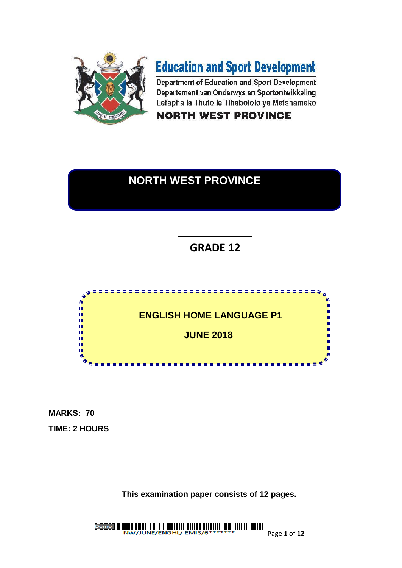

# **Education and Sport Development**

Department of Education and Sport Development Departement van Onderwys en Sportontwikkeling Lefapha la Thuto le Tihabololo ya Metshameko

**NORTH WEST PROVINCE** 

### **NORTH WEST PROVINCE**

## **GRADE 12**



**MARKS: 70 TIME: 2 HOURS**

**This examination paper consists of 12 pages.**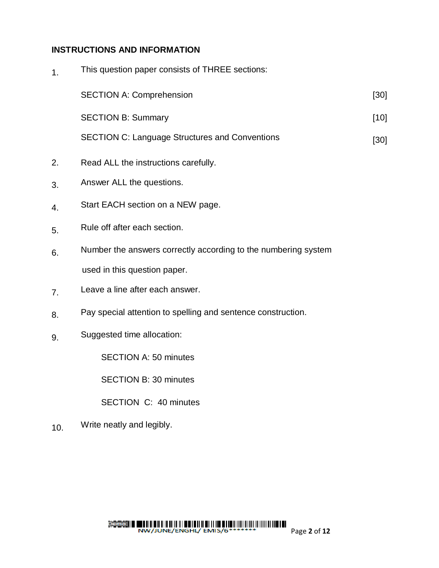#### **INSTRUCTIONS AND INFORMATION**

| $\mathbf{1}$ . | This question paper consists of THREE sections:       |        |
|----------------|-------------------------------------------------------|--------|
|                | <b>SECTION A: Comprehension</b>                       | $[30]$ |
|                | <b>SECTION B: Summary</b>                             | $[10]$ |
|                | <b>SECTION C: Language Structures and Conventions</b> | $[30]$ |
| 2.             | Read ALL the instructions carefully.                  |        |

- 3. Answer ALL the questions.
- 4. Start EACH section on a NEW page.
- 5. Rule off after each section.
- 6. Number the answers correctly according to the numbering system used in this question paper.
- 7. Leave a line after each answer.
- 8. Pay special attention to spelling and sentence construction.
- 9. Suggested time allocation:

SECTION A: 50 minutes

SECTION B: 30 minutes

SECTION C: 40 minutes

10. Write neatly and legibly.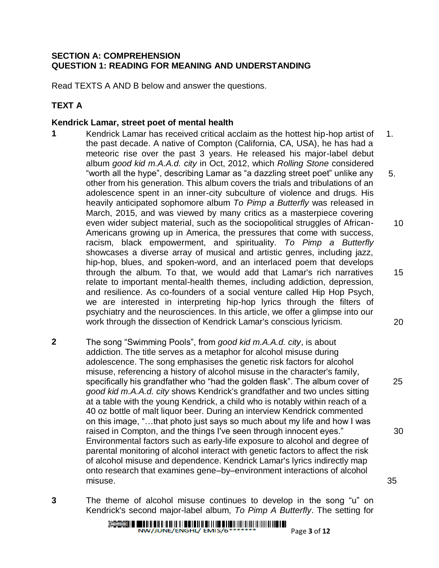#### **SECTION A: COMPREHENSION QUESTION 1: READING FOR MEANING AND UNDERSTANDING**

Read TEXTS A AND B below and answer the questions.

### **TEXT A**

#### **Kendrick Lamar, street poet of mental health**

- **1** Kendrick Lamar has received critical acclaim as the hottest hip-hop artist of the past decade. A native of Compton (California, CA, USA), he has had a meteoric rise over the past 3 years. He released his major-label debut album *good kid m.A.A.d. city* in Oct, 2012, which *Rolling Stone* considered "worth all the hype", describing Lamar as "a dazzling street poet" unlike any other from his generation. This album covers the trials and tribulations of an adolescence spent in an inner-city subculture of violence and drugs. His heavily anticipated sophomore album *To Pimp a Butterfly* was released in March, 2015, and was viewed by many critics as a masterpiece covering even wider subject material, such as the sociopolitical struggles of African-Americans growing up in America, the pressures that come with success, racism, black empowerment, and spirituality. *To Pimp a Butterfly* showcases a diverse array of musical and artistic genres, including jazz, hip-hop, blues, and spoken-word, and an interlaced poem that develops through the album. To that, we would add that Lamar's rich narratives relate to important mental-health themes, including addiction, depression, and resilience. As co-founders of a social venture called [Hip Hop Psych,](http://www.hiphoppsych.co.uk/) we are interested in interpreting hip-hop lyrics through the filters of psychiatry and the neurosciences. In this article, we offer a glimpse into our work through the dissection of Kendrick Lamar's conscious lyricism. 1. 5. 10 15 20
- **2** The song "Swimming Pools", from *good kid m.A.A.d. city*, is about addiction. The title serves as a metaphor for alcohol misuse during adolescence. The song emphasises the genetic risk factors for alcohol misuse, referencing a history of alcohol misuse in the character's family, specifically his grandfather who "had the golden flask". The album cover of *good kid m.A.A.d. city* shows Kendrick's grandfather and two uncles sitting at a table with the young Kendrick, a child who is notably within reach of a 40 oz bottle of malt liquor beer. During an interview Kendrick commented on this image, "…that photo just says so much about my life and how I was raised in Compton, and the things I've seen through innocent eyes." Environmental factors such as early-life exposure to alcohol and degree of parental monitoring of alcohol interact with genetic factors to affect the risk of alcohol misuse and dependence. Kendrick Lamar's lyrics indirectly map onto research that examines gene–by–environment interactions of alcohol misuse. 35
- **3** The theme of alcohol misuse continues to develop in the song "u" on Kendrick's second major-label album, *To Pimp A Butterfly*. The setting for

25

30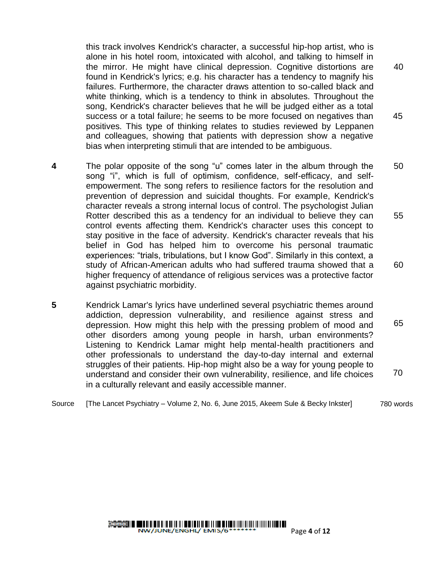this track involves Kendrick's character, a successful hip-hop artist, who is alone in his hotel room, intoxicated with alcohol, and talking to himself in the mirror. He might have clinical depression. Cognitive distortions are found in Kendrick's lyrics; e.g. his character has a tendency to magnify his failures. Furthermore, the character draws attention to so-called black and white thinking, which is a tendency to think in absolutes. Throughout the song, Kendrick's character believes that he will be judged either as a total success or a total failure; he seems to be more focused on negatives than positives. This type of thinking relates to studies reviewed by [Leppanen](http://www.ncbi.nlm.nih.gov/pmc/articles/PMC3253452/) and colleagues, showing that patients with depression show a negative bias when interpreting stimuli that are intended to be ambiguous. 40 45

- **4** The polar opposite of the song "u" comes later in the album through the song "i", which is full of optimism, confidence, self-efficacy, and selfempowerment. The song refers to resilience factors for the resolution and prevention of depression and suicidal thoughts. For example, Kendrick's character reveals a strong internal locus of control. The psychologist Julian Rotter described this as a tendency for an individual to believe they can control events affecting them. Kendrick's character uses this concept to stay positive in the face of adversity. Kendrick's character reveals that his belief in God has helped him to overcome his personal traumatic experiences: "trials, tribulations, but I know God". Similarly in this context, a study of African-American adults who had suffered trauma showed that a higher frequency of attendance of religious services was a protective factor against psychiatric [morbidity.](http://www.ncbi.nlm.nih.gov/pubmed/19015233?dopt=Abstract) 50 55 60
- **5** Kendrick Lamar's lyrics have underlined several psychiatric themes around addiction, depression vulnerability, and resilience against stress and depression. How might this help with the pressing problem of mood and other disorders among young people in harsh, urban environments? Listening to Kendrick Lamar might help mental-health practitioners and other professionals to understand the day-to-day internal and external struggles of their patients. Hip-hop might also be a way for young people to understand and consider their own vulnerability, resilience, and life choices in a culturally relevant and easily accessible manner. 65 70
- Source [The Lancet Psychiatry Volume 2, No. 6, June 2015, Akeem Sule & Becky Inkster] 780 words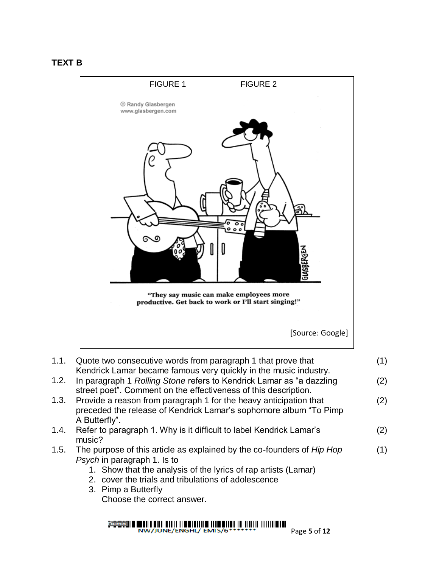#### **TEXT B**



| 1.1. | Quote two consecutive words from paragraph 1 that prove that           | (1) |
|------|------------------------------------------------------------------------|-----|
|      | Kendrick Lamar became famous very quickly in the music industry.       |     |
| 1.2. | In paragraph 1 Rolling Stone refers to Kendrick Lamar as "a dazzling   | (2) |
|      | street poet". Comment on the effectiveness of this description.        |     |
| 1.3. | Provide a reason from paragraph 1 for the heavy anticipation that      | (2) |
|      | preceded the release of Kendrick Lamar's sophomore album "To Pimp      |     |
|      | A Butterfly".                                                          |     |
| 1.4. | Refer to paragraph 1. Why is it difficult to label Kendrick Lamar's    | (2) |
|      | music?                                                                 |     |
| 1.5. | The purpose of this article as explained by the co-founders of Hip Hop | (1) |
|      | Psych in paragraph 1. Is to                                            |     |
|      | 1. Show that the analysis of the lyrics of rap artists (Lamar)         |     |
|      | 2. cover the trials and tribulations of adolescence                    |     |
|      | $\Omega$ Dines a Duffaully                                             |     |

3. Pimp a Butterfly Choose the correct answer.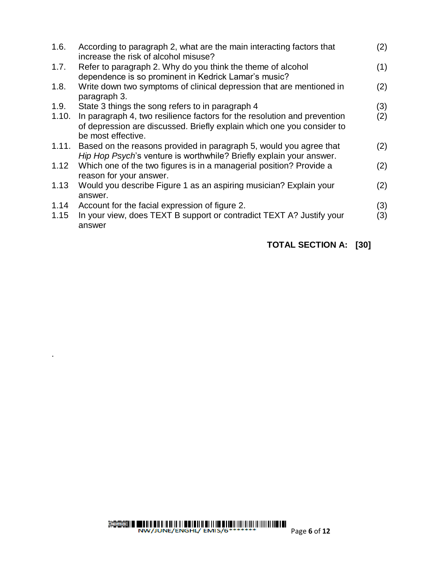| 1.6.         | According to paragraph 2, what are the main interacting factors that<br>increase the risk of alcohol misuse?                                                             | (2)        |
|--------------|--------------------------------------------------------------------------------------------------------------------------------------------------------------------------|------------|
| 1.7.         | Refer to paragraph 2. Why do you think the theme of alcohol<br>dependence is so prominent in Kedrick Lamar's music?                                                      | (1)        |
| 1.8.         | Write down two symptoms of clinical depression that are mentioned in<br>paragraph 3.                                                                                     | (2)        |
| 1.9.         | State 3 things the song refers to in paragraph 4                                                                                                                         | (3)        |
| 1.10.        | In paragraph 4, two resilience factors for the resolution and prevention<br>of depression are discussed. Briefly explain which one you consider to<br>be most effective. | (2)        |
| 1.11.        | Based on the reasons provided in paragraph 5, would you agree that<br>Hip Hop Psych's venture is worthwhile? Briefly explain your answer.                                | (2)        |
| 1.12         | Which one of the two figures is in a managerial position? Provide a<br>reason for your answer.                                                                           | (2)        |
| 1.13         | Would you describe Figure 1 as an aspiring musician? Explain your<br>answer.                                                                                             | (2)        |
| 1.14<br>1.15 | Account for the facial expression of figure 2.<br>In your view, does TEXT B support or contradict TEXT A? Justify your<br>answer                                         | (3)<br>(3) |

### **TOTAL SECTION A: [30]**

.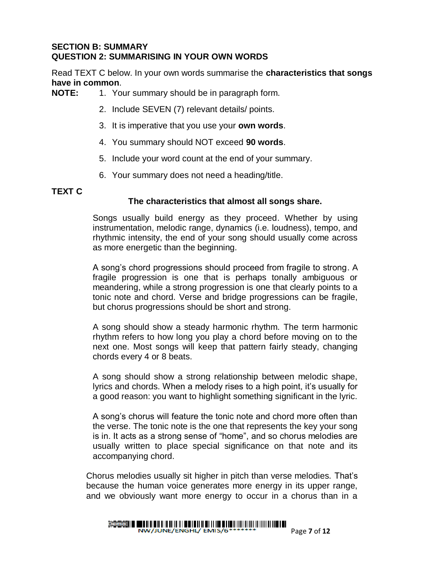#### **SECTION B: SUMMARY QUESTION 2: SUMMARISING IN YOUR OWN WORDS**

Read TEXT C below. In your own words summarise the **characteristics that songs have in common**.

- **NOTE:** 1. Your summary should be in paragraph form.
	- 2. Include SEVEN (7) relevant details/ points.
	- 3. It is imperative that you use your **own words**.
	- 4. You summary should NOT exceed **90 words**.
	- 5. Include your word count at the end of your summary.
	- 6. Your summary does not need a heading/title.

#### **TEXT C**

#### **The characteristics that almost all songs share.**

Songs usually build energy as they proceed. Whether by using instrumentation, melodic range, dynamics (i.e. loudness), tempo, and rhythmic intensity, the end of your song should usually come across as more energetic than the beginning.

A song's chord progressions should proceed from fragile to strong. A fragile progression is one that is perhaps tonally ambiguous or meandering, while a strong progression is one that clearly points to a tonic note and chord. Verse and bridge progressions can be fragile, but chorus progressions should be short and strong.

A song should show a steady harmonic rhythm. The term harmonic rhythm refers to how long you play a chord before moving on to the next one. Most songs will keep that pattern fairly steady, changing chords every 4 or 8 beats.

A song should show a strong relationship between melodic shape, lyrics and chords. When a melody rises to a high point, it's usually for a good reason: you want to highlight something significant in the lyric.

A song's chorus will feature the tonic note and chord more often than the verse. The tonic note is the one that represents the key your song is in. It acts as a strong sense of "home", and so chorus melodies are usually written to place special significance on that note and its accompanying chord.

Chorus melodies usually sit higher in pitch than verse melodies. That's because the human voice generates more energy in its upper range, and we obviously want more energy to occur in a chorus than in a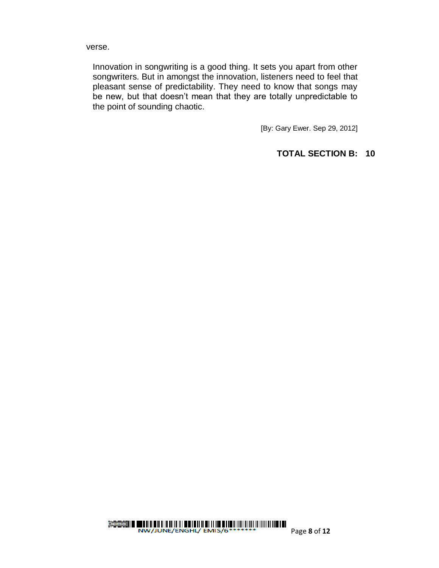verse.

Innovation in songwriting is a good thing. It sets you apart from other songwriters. But in amongst the innovation, listeners need to feel that pleasant sense of predictability. They need to know that songs may be new, but that doesn't mean that they are totally unpredictable to the point of sounding chaotic.

[By: Gary Ewer. Sep 29, 2012]

#### **TOTAL SECTION B: 10**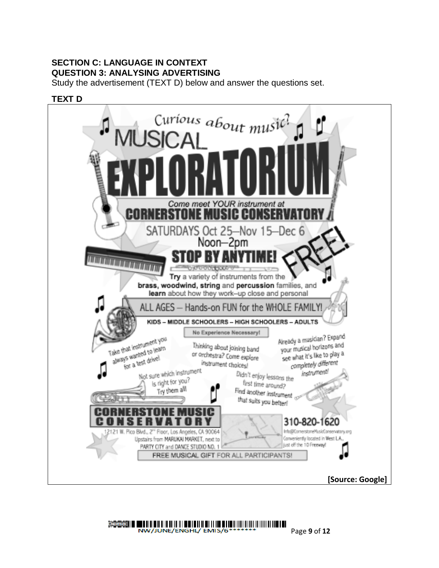#### **SECTION C: LANGUAGE IN CONTEXT QUESTION 3: ANALYSING ADVERTISING**

Study the advertisement (TEXT D) below and answer the questions set.



#### NW/JUNE/ENGHL/ EMIS/6\*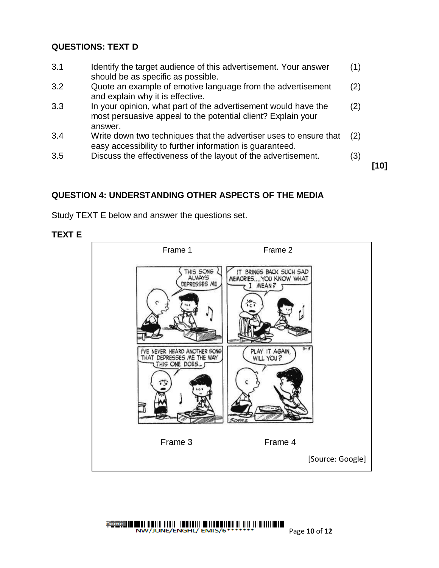#### **QUESTIONS: TEXT D**

3.1 Identify the target audience of this advertisement. Your answer should be as specific as possible. (1) 3.2 Quote an example of emotive language from the advertisement and explain why it is effective. (2) 3.3 In your opinion, what part of the advertisement would have the most persuasive appeal to the potential client? Explain your answer. (2) 3.4 Write down two techniques that the advertiser uses to ensure that easy accessibility to further information is guaranteed. (2) 3.5 Discuss the effectiveness of the layout of the advertisement. (3)

**[10]**

#### **QUESTION 4: UNDERSTANDING OTHER ASPECTS OF THE MEDIA**

Study TEXT E below and answer the questions set.

#### **TEXT E**

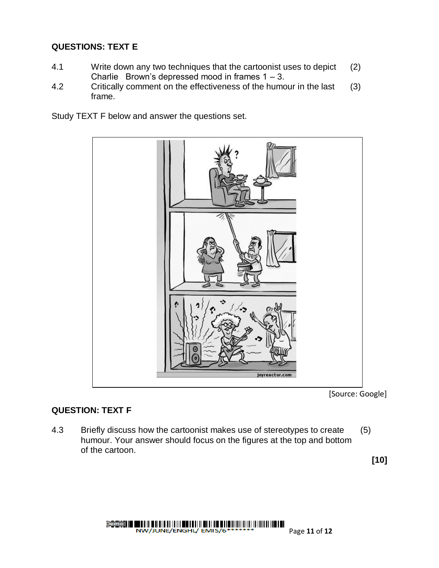#### **QUESTIONS: TEXT E**

- 4.1 Write down any two techniques that the cartoonist uses to depict Charlie Brown's depressed mood in frames  $1 - 3$ . (2)
- 4.2 Critically comment on the effectiveness of the humour in the last frame. (3)

Study TEXT F below and answer the questions set.



[Source: Google]

#### **QUESTION: TEXT F**

4.3 Briefly discuss how the cartoonist makes use of stereotypes to create humour. Your answer should focus on the figures at the top and bottom of the cartoon. (5)

**[10]**